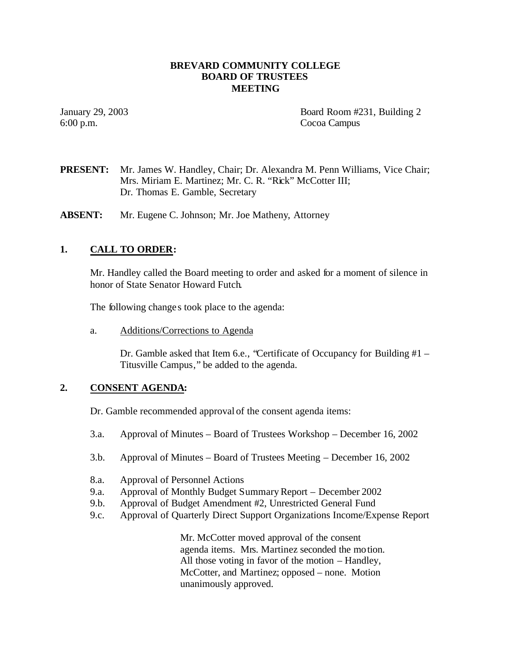## **BREVARD COMMUNITY COLLEGE BOARD OF TRUSTEES MEETING**

6:00 p.m. Cocoa Campus

January 29, 2003 Board Room #231, Building 2

# **PRESENT:** Mr. James W. Handley, Chair; Dr. Alexandra M. Penn Williams, Vice Chair; Mrs. Miriam E. Martinez; Mr. C. R. "Rick" McCotter III; Dr. Thomas E. Gamble, Secretary

**ABSENT:** Mr. Eugene C. Johnson; Mr. Joe Matheny, Attorney

# **1. CALL TO ORDER:**

Mr. Handley called the Board meeting to order and asked for a moment of silence in honor of State Senator Howard Futch.

The following change s took place to the agenda:

a. Additions/Corrections to Agenda

Dr. Gamble asked that Item 6.e., "Certificate of Occupancy for Building #1 – Titusville Campus," be added to the agenda.

# **2. CONSENT AGENDA:**

Dr. Gamble recommended approval of the consent agenda items:

- 3.a. Approval of Minutes Board of Trustees Workshop December 16, 2002
- 3.b. Approval of Minutes Board of Trustees Meeting December 16, 2002
- 8.a. Approval of Personnel Actions
- 9.a. Approval of Monthly Budget Summary Report December 2002
- 9.b. Approval of Budget Amendment #2, Unrestricted General Fund
- 9.c. Approval of Quarterly Direct Support Organizations Income/Expense Report

Mr. McCotter moved approval of the consent agenda items. Mrs. Martinez seconded the motion. All those voting in favor of the motion – Handley, McCotter, and Martinez; opposed – none. Motion unanimously approved.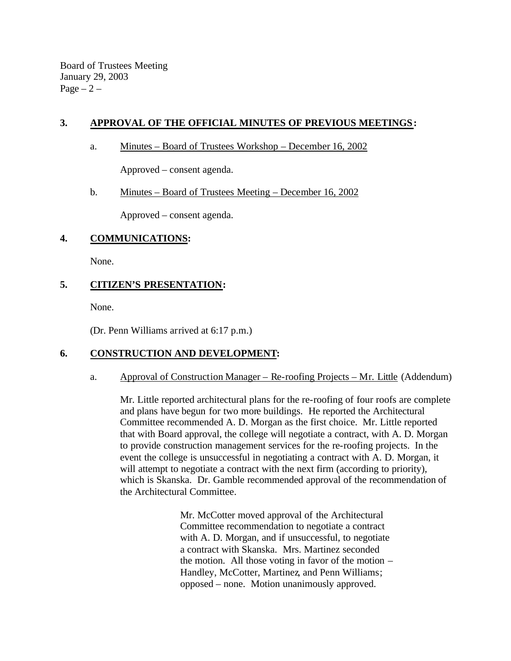Board of Trustees Meeting January 29, 2003 Page  $-2$  –

# **3. APPROVAL OF THE OFFICIAL MINUTES OF PREVIOUS MEETINGS:**

a. Minutes – Board of Trustees Workshop – December 16, 2002

Approved – consent agenda.

## b. Minutes – Board of Trustees Meeting – December 16, 2002

Approved – consent agenda.

# **4. COMMUNICATIONS:**

None.

# **5. CITIZEN'S PRESENTATION:**

None.

(Dr. Penn Williams arrived at 6:17 p.m.)

# **6. CONSTRUCTION AND DEVELOPMENT:**

## a. Approval of Construction Manager – Re-roofing Projects – Mr. Little (Addendum)

Mr. Little reported architectural plans for the re-roofing of four roofs are complete and plans have begun for two more buildings. He reported the Architectural Committee recommended A. D. Morgan as the first choice. Mr. Little reported that with Board approval, the college will negotiate a contract, with A. D. Morgan to provide construction management services for the re-roofing projects. In the event the college is unsuccessful in negotiating a contract with A. D. Morgan, it will attempt to negotiate a contract with the next firm (according to priority), which is Skanska. Dr. Gamble recommended approval of the recommendation of the Architectural Committee.

> Mr. McCotter moved approval of the Architectural Committee recommendation to negotiate a contract with A. D. Morgan, and if unsuccessful, to negotiate a contract with Skanska. Mrs. Martinez seconded the motion. All those voting in favor of the motion – Handley, McCotter, Martinez, and Penn Williams; opposed – none. Motion unanimously approved.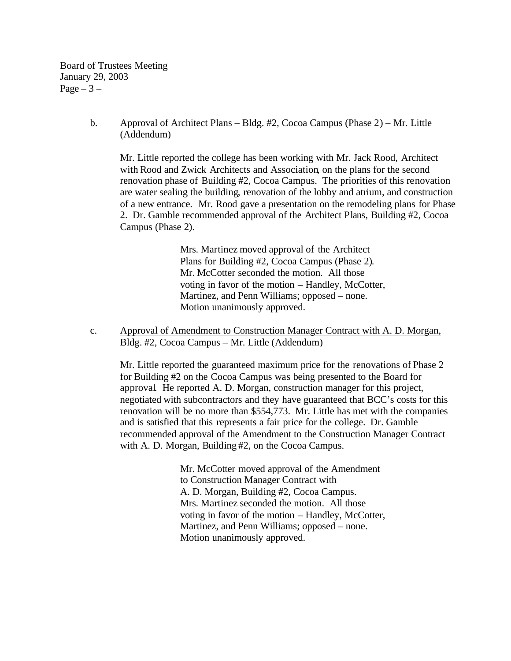Board of Trustees Meeting January 29, 2003 Page  $-3-$ 

> b. Approval of Architect Plans – Bldg. #2, Cocoa Campus (Phase 2) – Mr. Little (Addendum)

Mr. Little reported the college has been working with Mr. Jack Rood, Architect with Rood and Zwick Architects and Association, on the plans for the second renovation phase of Building #2, Cocoa Campus. The priorities of this renovation are water sealing the building, renovation of the lobby and atrium, and construction of a new entrance. Mr. Rood gave a presentation on the remodeling plans for Phase 2. Dr. Gamble recommended approval of the Architect Plans, Building #2, Cocoa Campus (Phase 2).

> Mrs. Martinez moved approval of the Architect Plans for Building #2, Cocoa Campus (Phase 2). Mr. McCotter seconded the motion. All those voting in favor of the motion – Handley, McCotter, Martinez, and Penn Williams; opposed – none. Motion unanimously approved.

c. Approval of Amendment to Construction Manager Contract with A. D. Morgan, Bldg. #2, Cocoa Campus – Mr. Little (Addendum)

Mr. Little reported the guaranteed maximum price for the renovations of Phase 2 for Building #2 on the Cocoa Campus was being presented to the Board for approval. He reported A. D. Morgan, construction manager for this project, negotiated with subcontractors and they have guaranteed that BCC's costs for this renovation will be no more than \$554,773. Mr. Little has met with the companies and is satisfied that this represents a fair price for the college. Dr. Gamble recommended approval of the Amendment to the Construction Manager Contract with A. D. Morgan, Building #2, on the Cocoa Campus.

> Mr. McCotter moved approval of the Amendment to Construction Manager Contract with A. D. Morgan, Building #2, Cocoa Campus. Mrs. Martinez seconded the motion. All those voting in favor of the motion – Handley, McCotter, Martinez, and Penn Williams; opposed – none. Motion unanimously approved.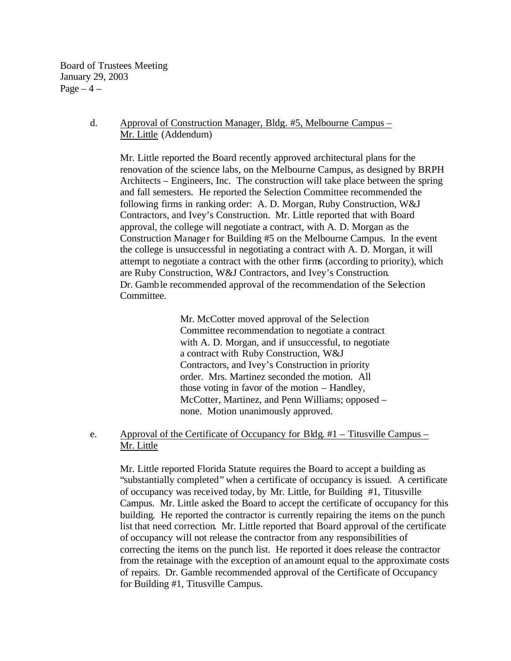Board of Trustees Meeting January 29, 2003 Page  $-4$  –

#### d. Approval of Construction Manager, Bldg. #5, Melbourne Campus – Mr. Little (Addendum)

Mr. Little reported the Board recently approved architectural plans for the renovation of the science labs, on the Melbourne Campus, as designed by BRPH Architects – Engineers, Inc. The construction will take place between the spring and fall semesters. He reported the Selection Committee recommended the following firms in ranking order: A. D. Morgan, Ruby Construction, W&J Contractors, and Ivey's Construction. Mr. Little reported that with Board approval, the college will negotiate a contract, with A. D. Morgan as the Construction Manager for Building #5 on the Melbourne Campus. In the event the college is unsuccessful in negotiating a contract with A. D. Morgan, it will attempt to negotiate a contract with the other firms (according to priority), which are Ruby Construction, W&J Contractors, and Ivey's Construction. Dr. Gamble recommended approval of the recommendation of the Selection Committee.

> Mr. McCotter moved approval of the Selection Committee recommendation to negotiate a contract with A. D. Morgan, and if unsuccessful, to negotiate a contract with Ruby Construction, W&J Contractors, and Ivey's Construction in priority order. Mrs. Martinez seconded the motion. All those voting in favor of the motion – Handley, McCotter, Martinez, and Penn Williams; opposed – none. Motion unanimously approved.

e. Approval of the Certificate of Occupancy for Bldg. #1 – Titusville Campus – Mr. Little

Mr. Little reported Florida Statute requires the Board to accept a building as "substantially completed" when a certificate of occupancy is issued. A certificate of occupancy was received today, by Mr. Little, for Building #1, Titusville Campus. Mr. Little asked the Board to accept the certificate of occupancy for this building. He reported the contractor is currently repairing the items on the punch list that need correction. Mr. Little reported that Board approval of the certificate of occupancy will not release the contractor from any responsibilities of correcting the items on the punch list. He reported it does release the contractor from the retainage with the exception of an amount equal to the approximate costs of repairs. Dr. Gamble recommended approval of the Certificate of Occupancy for Building #1, Titusville Campus.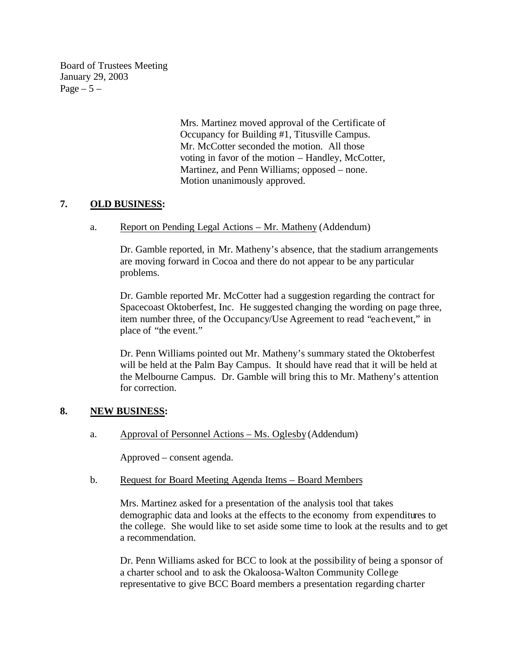Board of Trustees Meeting January 29, 2003 Page  $-5-$ 

> Mrs. Martinez moved approval of the Certificate of Occupancy for Building #1, Titusville Campus. Mr. McCotter seconded the motion. All those voting in favor of the motion – Handley, McCotter, Martinez, and Penn Williams; opposed – none. Motion unanimously approved.

# **7. OLD BUSINESS:**

a. Report on Pending Legal Actions – Mr. Matheny (Addendum)

Dr. Gamble reported, in Mr. Matheny's absence, that the stadium arrangements are moving forward in Cocoa and there do not appear to be any particular problems.

Dr. Gamble reported Mr. McCotter had a suggestion regarding the contract for Spacecoast Oktoberfest, Inc. He suggested changing the wording on page three, item number three, of the Occupancy/Use Agreement to read "each event," in place of "the event."

Dr. Penn Williams pointed out Mr. Matheny's summary stated the Oktoberfest will be held at the Palm Bay Campus. It should have read that it will be held at the Melbourne Campus. Dr. Gamble will bring this to Mr. Matheny's attention for correction.

## **8. NEW BUSINESS:**

a. Approval of Personnel Actions – Ms. Oglesby (Addendum)

Approved – consent agenda.

b. Request for Board Meeting Agenda Items – Board Members

Mrs. Martinez asked for a presentation of the analysis tool that takes demographic data and looks at the effects to the economy from expenditures to the college. She would like to set aside some time to look at the results and to get a recommendation.

Dr. Penn Williams asked for BCC to look at the possibility of being a sponsor of a charter school and to ask the Okaloosa-Walton Community College representative to give BCC Board members a presentation regarding charter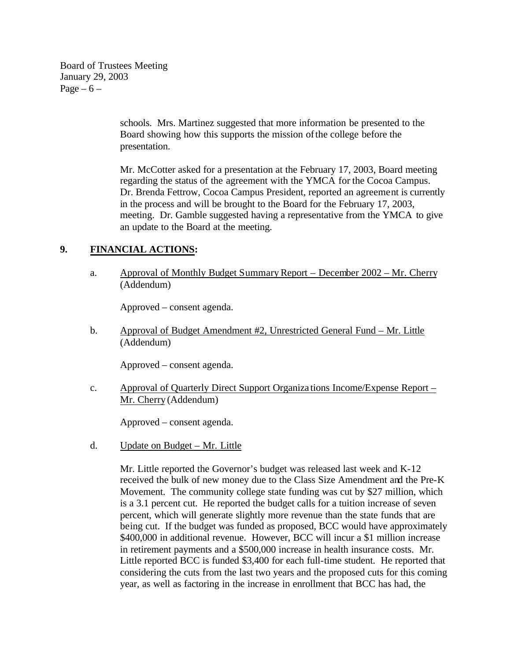Board of Trustees Meeting January 29, 2003 Page  $-6$  –

> schools. Mrs. Martinez suggested that more information be presented to the Board showing how this supports the mission ofthe college before the presentation.

Mr. McCotter asked for a presentation at the February 17, 2003, Board meeting regarding the status of the agreement with the YMCA for the Cocoa Campus. Dr. Brenda Fettrow, Cocoa Campus President, reported an agreement is currently in the process and will be brought to the Board for the February 17, 2003, meeting. Dr. Gamble suggested having a representative from the YMCA to give an update to the Board at the meeting.

# **9. FINANCIAL ACTIONS:**

a. Approval of Monthly Budget Summary Report – December 2002 – Mr. Cherry (Addendum)

Approved – consent agenda.

b. Approval of Budget Amendment #2, Unrestricted General Fund – Mr. Little (Addendum)

Approved – consent agenda.

c. Approval of Quarterly Direct Support Organiza tions Income/Expense Report – Mr. Cherry (Addendum)

Approved – consent agenda.

d. Update on Budget – Mr. Little

Mr. Little reported the Governor's budget was released last week and K-12 received the bulk of new money due to the Class Size Amendment and the Pre-K Movement. The community college state funding was cut by \$27 million, which is a 3.1 percent cut. He reported the budget calls for a tuition increase of seven percent, which will generate slightly more revenue than the state funds that are being cut. If the budget was funded as proposed, BCC would have approximately \$400,000 in additional revenue. However, BCC will incur a \$1 million increase in retirement payments and a \$500,000 increase in health insurance costs. Mr. Little reported BCC is funded \$3,400 for each full-time student. He reported that considering the cuts from the last two years and the proposed cuts for this coming year, as well as factoring in the increase in enrollment that BCC has had, the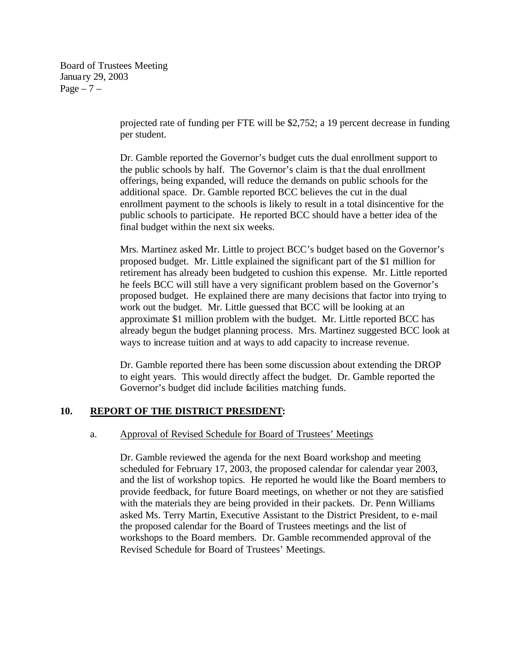Board of Trustees Meeting January 29, 2003 Page  $-7$  –

> projected rate of funding per FTE will be \$2,752; a 19 percent decrease in funding per student.

Dr. Gamble reported the Governor's budget cuts the dual enrollment support to the public schools by half. The Governor's claim is tha t the dual enrollment offerings, being expanded, will reduce the demands on public schools for the additional space. Dr. Gamble reported BCC believes the cut in the dual enrollment payment to the schools is likely to result in a total disincentive for the public schools to participate. He reported BCC should have a better idea of the final budget within the next six weeks.

Mrs. Martinez asked Mr. Little to project BCC's budget based on the Governor's proposed budget. Mr. Little explained the significant part of the \$1 million for retirement has already been budgeted to cushion this expense. Mr. Little reported he feels BCC will still have a very significant problem based on the Governor's proposed budget. He explained there are many decisions that factor into trying to work out the budget. Mr. Little guessed that BCC will be looking at an approximate \$1 million problem with the budget. Mr. Little reported BCC has already begun the budget planning process. Mrs. Martinez suggested BCC look at ways to increase tuition and at ways to add capacity to increase revenue.

Dr. Gamble reported there has been some discussion about extending the DROP to eight years. This would directly affect the budget. Dr. Gamble reported the Governor's budget did include facilities matching funds.

## **10. REPORT OF THE DISTRICT PRESIDENT:**

#### a. Approval of Revised Schedule for Board of Trustees' Meetings

Dr. Gamble reviewed the agenda for the next Board workshop and meeting scheduled for February 17, 2003, the proposed calendar for calendar year 2003, and the list of workshop topics. He reported he would like the Board members to provide feedback, for future Board meetings, on whether or not they are satisfied with the materials they are being provided in their packets. Dr. Penn Williams asked Ms. Terry Martin, Executive Assistant to the District President, to e-mail the proposed calendar for the Board of Trustees meetings and the list of workshops to the Board members. Dr. Gamble recommended approval of the Revised Schedule for Board of Trustees' Meetings.